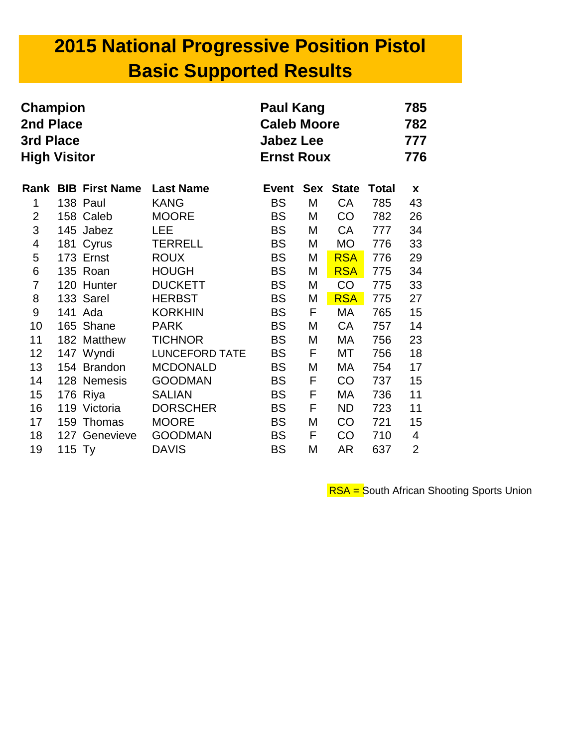# **2015 National Progressive Position Pistol Basic Supported Results**

| <b>Paul Kang</b><br>Champion<br>2nd Place<br><b>Caleb Moore</b><br>3rd Place<br><b>Jabez Lee</b><br><b>High Visitor</b><br><b>Ernst Roux</b> |        |                       |                       |              |            | 785<br>782<br>777<br>776 |              |                |
|----------------------------------------------------------------------------------------------------------------------------------------------|--------|-----------------------|-----------------------|--------------|------------|--------------------------|--------------|----------------|
| Rank                                                                                                                                         |        | <b>BIB First Name</b> | <b>Last Name</b>      | <b>Event</b> | <b>Sex</b> | <b>State</b>             | <b>Total</b> | X              |
| 1                                                                                                                                            |        | 138 Paul              | <b>KANG</b>           | <b>BS</b>    | Μ          | CA                       | 785          | 43             |
| $\overline{2}$                                                                                                                               |        | 158 Caleb             | <b>MOORE</b>          | <b>BS</b>    | М          | <b>CO</b>                | 782          | 26             |
| 3                                                                                                                                            |        | 145 Jabez             | <b>LEE</b>            | <b>BS</b>    | Μ          | CA                       | 777          | 34             |
| 4                                                                                                                                            |        | 181 Cyrus             | <b>TERRELL</b>        | <b>BS</b>    | Μ          | <b>MO</b>                | 776          | 33             |
| 5                                                                                                                                            |        | 173 Ernst             | <b>ROUX</b>           | <b>BS</b>    | Μ          | <b>RSA</b>               | 776          | 29             |
| 6                                                                                                                                            |        | 135 Roan              | <b>HOUGH</b>          | <b>BS</b>    | M          | <b>RSA</b>               | 775          | 34             |
| $\overline{7}$                                                                                                                               |        | 120 Hunter            | <b>DUCKETT</b>        | <b>BS</b>    | Μ          | CO                       | 775          | 33             |
| 8                                                                                                                                            |        | 133 Sarel             | <b>HERBST</b>         | <b>BS</b>    | М          | <b>RSA</b>               | 775          | 27             |
| 9                                                                                                                                            |        | 141 Ada               | <b>KORKHIN</b>        | <b>BS</b>    | F          | МA                       | 765          | 15             |
| 10                                                                                                                                           |        | 165 Shane             | <b>PARK</b>           | <b>BS</b>    | Μ          | CA                       | 757          | 14             |
| 11                                                                                                                                           |        | 182 Matthew           | <b>TICHNOR</b>        | <b>BS</b>    | М          | МA                       | 756          | 23             |
| 12                                                                                                                                           |        | 147 Wyndi             | <b>LUNCEFORD TATE</b> | <b>BS</b>    | F          | МT                       | 756          | 18             |
| 13                                                                                                                                           |        | 154 Brandon           | <b>MCDONALD</b>       | <b>BS</b>    | М          | МA                       | 754          | 17             |
| 14                                                                                                                                           |        | 128 Nemesis           | <b>GOODMAN</b>        | <b>BS</b>    | F          | <b>CO</b>                | 737          | 15             |
| 15                                                                                                                                           |        | 176 Riya              | <b>SALIAN</b>         | <b>BS</b>    | F          | МA                       | 736          | 11             |
| 16                                                                                                                                           |        | 119 Victoria          | <b>DORSCHER</b>       | <b>BS</b>    | F          | ND                       | 723          | 11             |
| 17                                                                                                                                           |        | 159 Thomas            | <b>MOORE</b>          | <b>BS</b>    | М          | <b>CO</b>                | 721          | 15             |
| 18                                                                                                                                           |        | 127 Genevieve         | <b>GOODMAN</b>        | <b>BS</b>    | F          | CO                       | 710          | 4              |
| 19                                                                                                                                           | 115 Ty |                       | <b>DAVIS</b>          | <b>BS</b>    | Μ          | AR                       | 637          | $\overline{2}$ |

**RSA = South African Shooting Sports Union**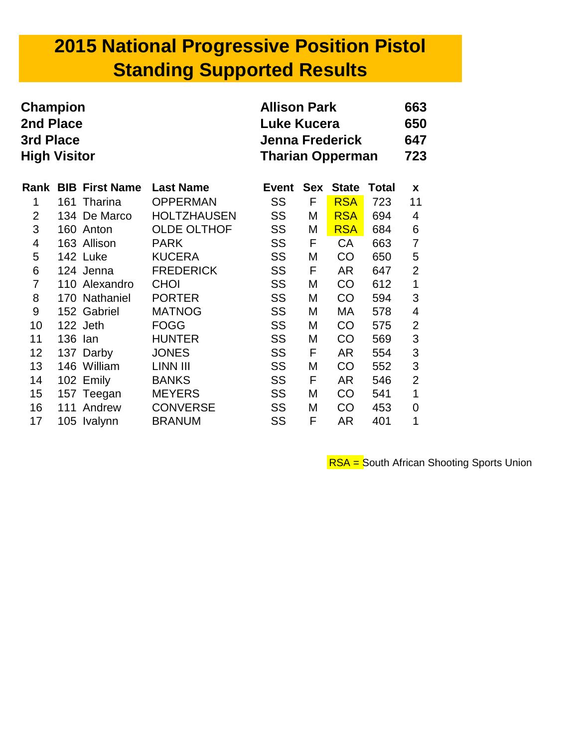## **2015 National Progressive Position Pistol Standing Supported Results**

| Champion<br>2nd Place<br>3rd Place<br><b>High Visitor</b> |         |                            | <b>Allison Park</b><br><b>Luke Kucera</b><br><b>Jenna Frederick</b><br><b>Tharian Opperman</b> |           |            |              |       |                |
|-----------------------------------------------------------|---------|----------------------------|------------------------------------------------------------------------------------------------|-----------|------------|--------------|-------|----------------|
|                                                           |         | <b>Rank BIB First Name</b> | <b>Last Name</b>                                                                               | Event     | <b>Sex</b> | <b>State</b> | Total | X              |
| 1                                                         |         | 161 Tharina                | <b>OPPERMAN</b>                                                                                | SS        | F          | <b>RSA</b>   | 723   | 11             |
| $\overline{2}$                                            |         | 134 De Marco               | <b>HOLTZHAUSEN</b>                                                                             | SS        | M          | <b>RSA</b>   | 694   | 4              |
| 3                                                         |         | 160 Anton                  | <b>OLDE OLTHOF</b>                                                                             | SS        | М          | <b>RSA</b>   | 684   | 6              |
| 4                                                         |         | 163 Allison                | <b>PARK</b>                                                                                    | SS        | F          | CA           | 663   | 7              |
| 5                                                         |         | 142 Luke                   | <b>KUCERA</b>                                                                                  | SS        | M          | <b>CO</b>    | 650   | 5              |
| 6                                                         |         | 124 Jenna                  | <b>FREDERICK</b>                                                                               | SS        | F          | AR           | 647   | $\overline{2}$ |
| $\overline{7}$                                            |         | 110 Alexandro              | <b>CHOI</b>                                                                                    | SS        | M          | CO           | 612   | 1              |
| 8                                                         |         | 170 Nathaniel              | <b>PORTER</b>                                                                                  | SS        | M          | <b>CO</b>    | 594   | 3              |
| 9                                                         |         | 152 Gabriel                | <b>MATNOG</b>                                                                                  | SS        | Μ          | МA           | 578   | 4              |
| 10                                                        |         | 122 Jeth                   | <b>FOGG</b>                                                                                    | SS        | Μ          | <b>CO</b>    | 575   | $\overline{2}$ |
| 11                                                        | 136 Ian |                            | <b>HUNTER</b>                                                                                  | <b>SS</b> | Μ          | CO           | 569   | 3              |
| 12 <sub>2</sub>                                           |         | 137 Darby                  | <b>JONES</b>                                                                                   | SS        | F          | AR           | 554   | 3              |
| 13                                                        |         | 146 William                | LINN III                                                                                       | SS        | M          | CO           | 552   | 3              |
| 14                                                        |         | 102 Emily                  | <b>BANKS</b>                                                                                   | <b>SS</b> | F          | AR           | 546   | $\overline{2}$ |
| 15 <sub>2</sub>                                           |         | 157 Teegan                 | <b>MEYERS</b>                                                                                  | <b>SS</b> | M          | <b>CO</b>    | 541   | 1              |
| 16                                                        |         | 111 Andrew                 | <b>CONVERSE</b>                                                                                | SS        | М          | <b>CO</b>    | 453   | 0              |
| 17                                                        |         | 105 Ivalynn                | <b>BRANUM</b>                                                                                  | SS        | F          | AR.          | 401   | 1              |

**RSA** = South African Shooting Sports Union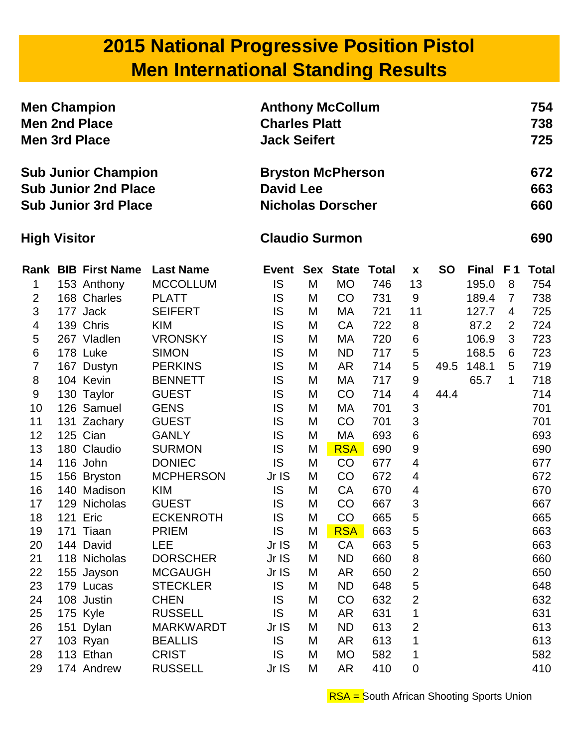## **2015 National Progressive Position Pistol Men International Standing Results**

| <b>Men Champion</b><br><b>Men 2nd Place</b><br><b>Men 3rd Place</b><br><b>Sub Junior Champion</b><br><b>Sub Junior 2nd Place</b><br><b>Sub Junior 3rd Place</b> |  |                            | <b>Anthony McCollum</b><br><b>Charles Platt</b><br><b>Jack Seifert</b>   |                       |   |                  |              |                |           |          | 754<br>738<br>725 |              |
|-----------------------------------------------------------------------------------------------------------------------------------------------------------------|--|----------------------------|--------------------------------------------------------------------------|-----------------------|---|------------------|--------------|----------------|-----------|----------|-------------------|--------------|
|                                                                                                                                                                 |  |                            | <b>Bryston McPherson</b><br><b>David Lee</b><br><b>Nicholas Dorscher</b> |                       |   |                  |              |                |           |          | 672<br>663<br>660 |              |
| <b>High Visitor</b>                                                                                                                                             |  |                            |                                                                          | <b>Claudio Surmon</b> |   |                  |              |                |           |          |                   | 690          |
|                                                                                                                                                                 |  | <b>Rank BIB First Name</b> | <b>Last Name</b>                                                         | <b>Event</b>          |   | <b>Sex State</b> | <b>Total</b> | X              | <b>SO</b> | Final F1 |                   | <b>Total</b> |
| 1                                                                                                                                                               |  | 153 Anthony                | <b>MCCOLLUM</b>                                                          | <b>IS</b>             | M | <b>MO</b>        | 746          | 13             |           | 195.0    | 8                 | 754          |
| $\overline{2}$                                                                                                                                                  |  | 168 Charles                | <b>PLATT</b>                                                             | IS                    | M | CO               | 731          | 9              |           | 189.4    | $\overline{7}$    | 738          |
| 3                                                                                                                                                               |  | 177 Jack                   | <b>SEIFERT</b>                                                           | IS                    | M | МA               | 721          | 11             |           | 127.7    | 4                 | 725          |
| 4                                                                                                                                                               |  | 139 Chris                  | <b>KIM</b>                                                               | IS                    | M | <b>CA</b>        | 722          | 8              |           | 87.2     | $\overline{2}$    | 724          |
| 5                                                                                                                                                               |  | 267 Vladlen                | <b>VRONSKY</b>                                                           | IS                    | M | МA               | 720          | 6              |           | 106.9    | 3                 | 723          |
| 6                                                                                                                                                               |  | 178 Luke                   | <b>SIMON</b>                                                             | IS                    | M | <b>ND</b>        | 717          | 5              |           | 168.5    | 6                 | 723          |
| $\overline{7}$                                                                                                                                                  |  | 167 Dustyn                 | <b>PERKINS</b>                                                           | IS                    | M | <b>AR</b>        | 714          | 5              | 49.5      | 148.1    | 5                 | 719          |
| 8                                                                                                                                                               |  | 104 Kevin                  | <b>BENNETT</b>                                                           | IS                    | M | МA               | 717          | 9              |           | 65.7     | 1                 | 718          |
| 9                                                                                                                                                               |  | 130 Taylor                 | <b>GUEST</b>                                                             | IS                    | M | CO               | 714          | 4              | 44.4      |          |                   | 714          |
| 10                                                                                                                                                              |  | 126 Samuel                 | <b>GENS</b>                                                              | IS                    | M | МA               | 701          | 3              |           |          |                   | 701          |
| 11                                                                                                                                                              |  | 131 Zachary                | <b>GUEST</b>                                                             | IS                    | M | CO               | 701          | 3              |           |          |                   | 701          |
| 12                                                                                                                                                              |  | 125 Cian                   | <b>GANLY</b>                                                             | IS                    | M | MA               | 693          | 6              |           |          |                   | 693          |
| 13                                                                                                                                                              |  | 180 Claudio                | <b>SURMON</b>                                                            | IS                    | M | <b>RSA</b>       | 690          | 9              |           |          |                   | 690          |
| 14                                                                                                                                                              |  | 116 John                   | <b>DONIEC</b>                                                            | <b>IS</b>             | M | CO               | 677          | 4              |           |          |                   | 677          |
| 15                                                                                                                                                              |  | 156 Bryston                | <b>MCPHERSON</b>                                                         | Jr IS                 | M | CO               | 672          | 4              |           |          |                   | 672          |
| 16                                                                                                                                                              |  | 140 Madison                | <b>KIM</b>                                                               | <b>IS</b>             | M | <b>CA</b>        | 670          | 4              |           |          |                   | 670          |
| 17                                                                                                                                                              |  | 129 Nicholas               | <b>GUEST</b>                                                             | IS                    | M | CO               | 667          | 3              |           |          |                   | 667          |
| 18                                                                                                                                                              |  | 121 Eric                   | <b>ECKENROTH</b>                                                         | IS                    | M | CO               | 665          | 5              |           |          |                   | 665          |
| 19                                                                                                                                                              |  | 171 Tiaan                  | <b>PRIEM</b>                                                             | IS                    | M | <b>RSA</b>       | 663          | 5              |           |          |                   | 663          |
| 20                                                                                                                                                              |  | 144 David                  | LEE                                                                      | Jr IS                 | M | <b>CA</b>        | 663          | 5              |           |          |                   | 663          |
| 21                                                                                                                                                              |  | 118 Nicholas               | <b>DORSCHER</b>                                                          | Jr IS                 | M | <b>ND</b>        | 660          | 8              |           |          |                   | 660          |
| 22                                                                                                                                                              |  | 155 Jayson                 | <b>MCGAUGH</b>                                                           | Jr IS                 | M | AR               | 650          | $\overline{2}$ |           |          |                   | 650          |
| 23                                                                                                                                                              |  | 179 Lucas                  | <b>STECKLER</b>                                                          | <b>IS</b>             | M | <b>ND</b>        | 648          | 5              |           |          |                   | 648          |
| 24                                                                                                                                                              |  | 108 Justin                 | <b>CHEN</b>                                                              | IS                    | M | CO               | 632          | $\overline{2}$ |           |          |                   | 632          |
| 25                                                                                                                                                              |  | 175 Kyle                   | <b>RUSSELL</b>                                                           | IS                    | M | AR               | 631          | 1              |           |          |                   | 631          |
| 26                                                                                                                                                              |  | 151 Dylan                  | <b>MARKWARDT</b>                                                         | Jr IS                 | M | <b>ND</b>        | 613          | $\overline{2}$ |           |          |                   | 613          |
| 27                                                                                                                                                              |  | 103 Ryan                   | <b>BEALLIS</b>                                                           | <b>IS</b>             | M | AR               | 613          | 1              |           |          |                   | 613          |
| 28                                                                                                                                                              |  | 113 Ethan                  | <b>CRIST</b>                                                             | <b>IS</b>             | M | <b>MO</b>        | 582          | 1              |           |          |                   | 582          |
| 29                                                                                                                                                              |  | 174 Andrew                 | <b>RUSSELL</b>                                                           | Jr IS                 | M | AR               | 410          | 0              |           |          |                   | 410          |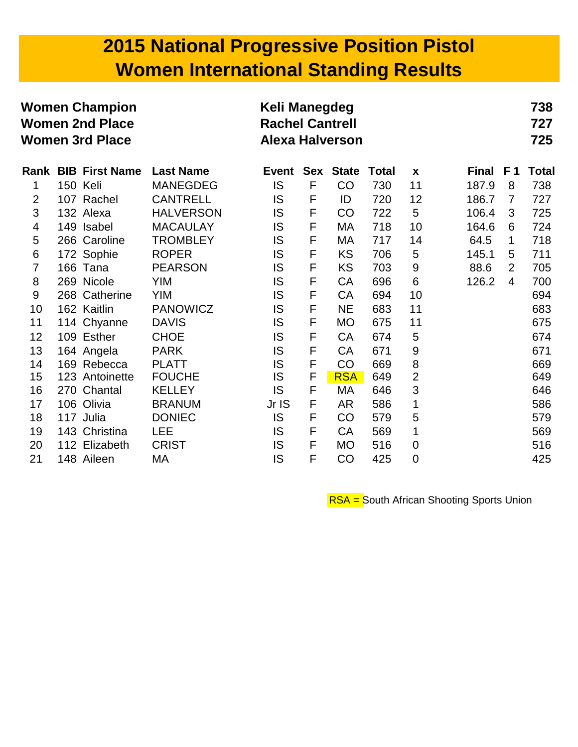## **2015 National Progressive Position Pistol Women International Standing Results**

| <b>Women Champion</b><br><b>Women 2nd Place</b><br><b>Women 3rd Place</b> |          |                            | Keli Manegdeg<br><b>Rachel Cantrell</b><br><b>Alexa Halverson</b> |              |              |              |              |                |              | 738<br>727<br>725 |              |
|---------------------------------------------------------------------------|----------|----------------------------|-------------------------------------------------------------------|--------------|--------------|--------------|--------------|----------------|--------------|-------------------|--------------|
|                                                                           |          | <b>Rank BIB First Name</b> | <b>Last Name</b>                                                  | <b>Event</b> | <b>Sex</b>   | <b>State</b> | <b>Total</b> | $\mathbf x$    | <b>Final</b> | F <sub>1</sub>    | <b>Total</b> |
| 1                                                                         | 150 Keli |                            | <b>MANEGDEG</b>                                                   | IS           | $\mathsf{F}$ | CO           | 730          | 11             | 187.9        | 8                 | 738          |
| $\overline{2}$                                                            |          | 107 Rachel                 | <b>CANTRELL</b>                                                   | IS           | F            | ID           | 720          | 12             | 186.7        | $\overline{7}$    | 727          |
| 3                                                                         |          | 132 Alexa                  | <b>HALVERSON</b>                                                  | IS           | $\mathsf F$  | CO           | 722          | 5              | 106.4        | 3                 | 725          |
| 4                                                                         |          | 149 Isabel                 | <b>MACAULAY</b>                                                   | IS           | F            | МA           | 718          | 10             | 164.6        | 6                 | 724          |
| 5                                                                         |          | 266 Caroline               | <b>TROMBLEY</b>                                                   | IS           | F            | МA           | 717          | 14             | 64.5         | 1                 | 718          |
| 6                                                                         |          | 172 Sophie                 | <b>ROPER</b>                                                      | IS           | F            | <b>KS</b>    | 706          | 5              | 145.1        | 5                 | 711          |
| $\overline{7}$                                                            |          | 166 Tana                   | <b>PEARSON</b>                                                    | IS           | $\mathsf{F}$ | <b>KS</b>    | 703          | 9              | 88.6         | $\overline{2}$    | 705          |
| 8                                                                         |          | 269 Nicole                 | <b>YIM</b>                                                        | IS           | $\mathsf F$  | <b>CA</b>    | 696          | 6              | 126.2        | 4                 | 700          |
| 9                                                                         |          | 268 Catherine              | <b>YIM</b>                                                        | IS           | F            | CA           | 694          | 10             |              |                   | 694          |
| 10                                                                        |          | 162 Kaitlin                | <b>PANOWICZ</b>                                                   | IS           | F            | <b>NE</b>    | 683          | 11             |              |                   | 683          |
| 11                                                                        |          | 114 Chyanne                | <b>DAVIS</b>                                                      | IS           | F            | <b>MO</b>    | 675          | 11             |              |                   | 675          |
| 12                                                                        |          | 109 Esther                 | <b>CHOE</b>                                                       | IS           | F            | CA           | 674          | 5              |              |                   | 674          |
| 13                                                                        |          | 164 Angela                 | <b>PARK</b>                                                       | IS           | F            | CA           | 671          | 9              |              |                   | 671          |
| 14                                                                        |          | 169 Rebecca                | <b>PLATT</b>                                                      | IS           | F            | CO           | 669          | 8              |              |                   | 669          |
| 15                                                                        |          | 123 Antoinette             | <b>FOUCHE</b>                                                     | IS           | F            | <b>RSA</b>   | 649          | $\overline{2}$ |              |                   | 649          |
| 16                                                                        | 270      | Chantal                    | <b>KELLEY</b>                                                     | IS           | F            | МA           | 646          | 3              |              |                   | 646          |
| 17                                                                        |          | 106 Olivia                 | <b>BRANUM</b>                                                     | Jr IS        | F            | <b>AR</b>    | 586          | 1              |              |                   | 586          |
| 18                                                                        |          | 117 Julia                  | <b>DONIEC</b>                                                     | IS           | F            | CO           | 579          | 5              |              |                   | 579          |
| 19                                                                        | 143      | Christina                  | <b>LEE</b>                                                        | IS           | F            | CA           | 569          | 1              |              |                   | 569          |
| 20                                                                        |          | 112 Elizabeth              | <b>CRIST</b>                                                      | IS           | F            | <b>MO</b>    | 516          | $\mathbf 0$    |              |                   | 516          |
| 21                                                                        |          | 148 Aileen                 | МA                                                                | IS           | F            | CO           | 425          | 0              |              |                   | 425          |

RSA = South African Shooting Sports Union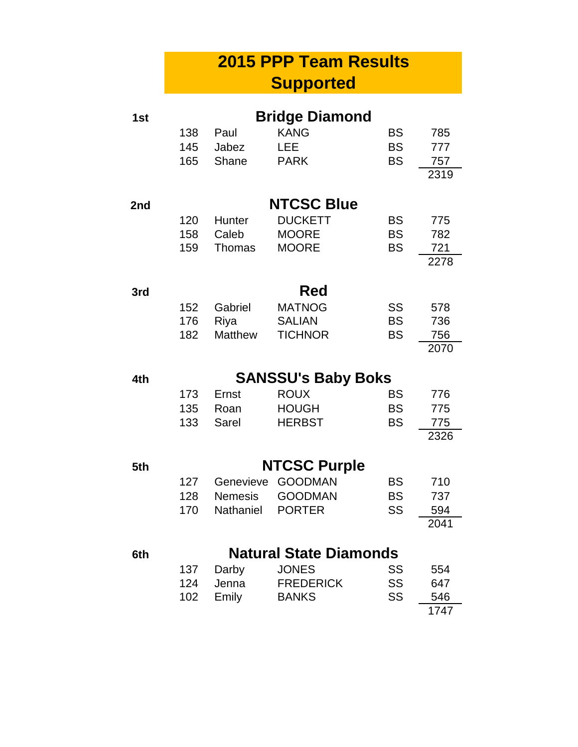#### **2015 PPP Team Results Supported**

| 1st |     |                | <b>Bridge Diamond</b>         |           |      |
|-----|-----|----------------|-------------------------------|-----------|------|
|     | 138 | Paul           | <b>KANG</b>                   | BS        | 785  |
|     | 145 | Jabez          | LEE                           | <b>BS</b> | 777  |
|     | 165 | Shane          | <b>PARK</b>                   | <b>BS</b> | 757  |
|     |     |                |                               |           | 2319 |
| 2nd |     |                | <b>NTCSC Blue</b>             |           |      |
|     | 120 | Hunter         | <b>DUCKETT</b>                | <b>BS</b> | 775  |
|     | 158 | Caleb          | <b>MOORE</b>                  | <b>BS</b> | 782  |
|     | 159 | Thomas         | <b>MOORE</b>                  | <b>BS</b> | 721  |
|     |     |                |                               |           | 2278 |
| 3rd |     |                | Red                           |           |      |
|     | 152 | Gabriel        | <b>MATNOG</b>                 | SS        | 578  |
|     | 176 | Riya           | <b>SALIAN</b>                 | <b>BS</b> | 736  |
|     | 182 | <b>Matthew</b> | <b>TICHNOR</b>                | <b>BS</b> | 756  |
|     |     |                |                               |           | 2070 |
| 4th |     |                | <b>SANSSU's Baby Boks</b>     |           |      |
|     | 173 | Ernst          | <b>ROUX</b>                   | <b>BS</b> | 776  |
|     | 135 | Roan           | <b>HOUGH</b>                  | <b>BS</b> | 775  |
|     | 133 | Sarel          | <b>HERBST</b>                 | <b>BS</b> | 775  |
|     |     |                |                               |           | 2326 |
| 5th |     |                | <b>NTCSC Purple</b>           |           |      |
|     | 127 | Genevieve      | <b>GOODMAN</b>                | BS        | 710  |
|     | 128 | <b>Nemesis</b> | <b>GOODMAN</b>                | <b>BS</b> | 737  |
|     | 170 | Nathaniel      | <b>PORTER</b>                 | SS        | 594  |
|     |     |                |                               |           | 2041 |
| 6th |     |                | <b>Natural State Diamonds</b> |           |      |
|     | 137 | Darby          | <b>JONES</b>                  | <b>SS</b> | 554  |
|     | 124 | Jenna          | <b>FREDERICK</b>              | SS        | 647  |
|     | 102 | Emily          | <b>BANKS</b>                  | SS        | 546  |
|     |     |                |                               |           |      |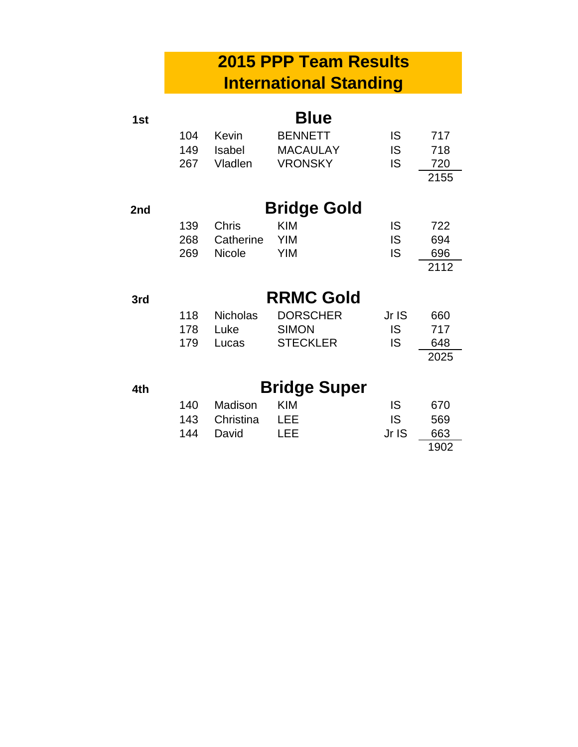#### **2015 PPP Team Results International Standing**

| 1st |     |                 | <b>Blue</b>         |           |      |
|-----|-----|-----------------|---------------------|-----------|------|
|     | 104 | Kevin           | <b>BENNETT</b>      | IS        | 717  |
|     | 149 | Isabel          | <b>MACAULAY</b>     | IS        | 718  |
|     | 267 | Vladlen         | <b>VRONSKY</b>      | IS.       | 720  |
|     |     |                 |                     |           | 2155 |
| 2nd |     |                 | <b>Bridge Gold</b>  |           |      |
|     | 139 | <b>Chris</b>    | <b>KIM</b>          | IS        | 722  |
|     | 268 | Catherine       | <b>YIM</b>          | <b>IS</b> | 694  |
|     | 269 | Nicole          | <b>YIM</b>          | <b>IS</b> | 696  |
|     |     |                 |                     |           | 2112 |
| 3rd |     |                 | <b>RRMC Gold</b>    |           |      |
|     | 118 | <b>Nicholas</b> | <b>DORSCHER</b>     | Jr IS     | 660  |
|     | 178 | Luke            | <b>SIMON</b>        | <b>IS</b> | 717  |
|     | 179 | Lucas           | <b>STECKLER</b>     | IS        | 648  |
|     |     |                 |                     |           | 2025 |
| 4th |     |                 | <b>Bridge Super</b> |           |      |
|     | 140 | Madison         | <b>KIM</b>          | IS        | 670  |
|     | 143 | Christina       | <b>LEE</b>          | IS.       | 569  |
|     | 144 | David           | LEE                 | Jr IS     | 663  |
|     |     |                 |                     |           | 1902 |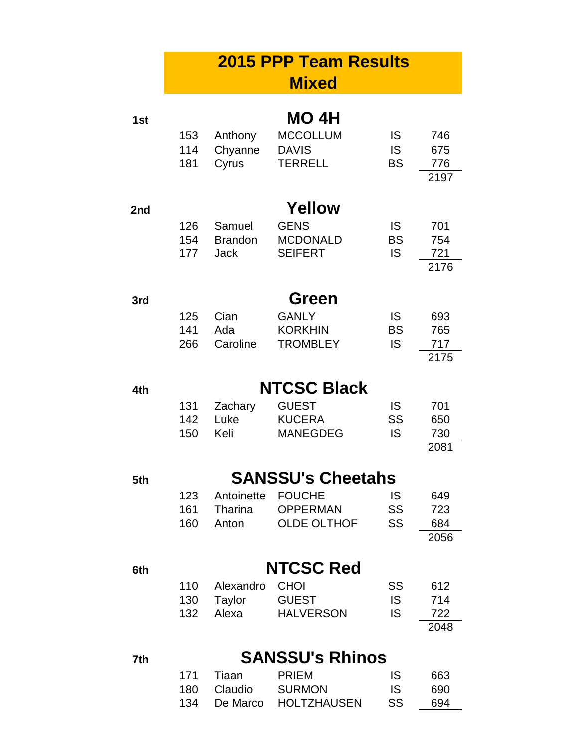|     |                   |                                         | <b>2015 PPP Team Results</b><br><b>Mixed</b>                                       |                                     |                                   |
|-----|-------------------|-----------------------------------------|------------------------------------------------------------------------------------|-------------------------------------|-----------------------------------|
| 1st | 153<br>114<br>181 | Anthony<br>Chyanne<br>Cyrus             | MO 4H<br><b>MCCOLLUM</b><br><b>DAVIS</b><br><b>TERRELL</b>                         | IS<br><b>IS</b><br><b>BS</b>        | 746<br>675<br>776                 |
| 2nd | 126<br>154<br>177 | Samuel<br><b>Brandon</b><br><b>Jack</b> | Yellow<br><b>GENS</b><br><b>MCDONALD</b><br><b>SEIFERT</b>                         | <b>IS</b><br><b>BS</b><br><b>IS</b> | 2197<br>701<br>754<br>721<br>2176 |
| 3rd | 125<br>141<br>266 | Cian<br>Ada<br>Caroline                 | <b>Green</b><br><b>GANLY</b><br><b>KORKHIN</b><br><b>TROMBLEY</b>                  | <b>IS</b><br><b>BS</b><br><b>IS</b> | 693<br>765<br>717<br>2175         |
| 4th | 131<br>142<br>150 | Zachary<br>Luke<br>Keli                 | <b>NTCSC Black</b><br><b>GUEST</b><br><b>KUCERA</b><br><b>MANEGDEG</b>             | IS<br>SS<br><b>IS</b>               | 701<br>650<br>730<br>2081         |
| 5th | 123<br>161<br>160 | Antoinette<br>Tharina<br>Anton          | <b>SANSSU's Cheetahs</b><br><b>FOUCHE</b><br><b>OPPERMAN</b><br><b>OLDE OLTHOF</b> | IS<br>SS<br>SS                      | 649<br>723<br>684<br>2056         |
| 6th | 110<br>130        | Alexandro<br>Tavlor                     | <b>NTCSC Red</b><br><b>CHOI</b><br>GUEST                                           | SS<br>IS.                           | 612<br>714                        |

130 Taylor GUEST IS 714 Alexa HALVERSON IS 722  $\frac{722}{2048}$ 

#### **7th SANSSU's Rhinos**

|     | 171 Tiaan   | <b>PRIFM</b>         | <b>IS</b> | 663 |
|-----|-------------|----------------------|-----------|-----|
|     | 180 Claudio | SURMON               | IS.       | 690 |
| 134 |             | De Marco HOLTZHAUSEN | SS.       | 694 |